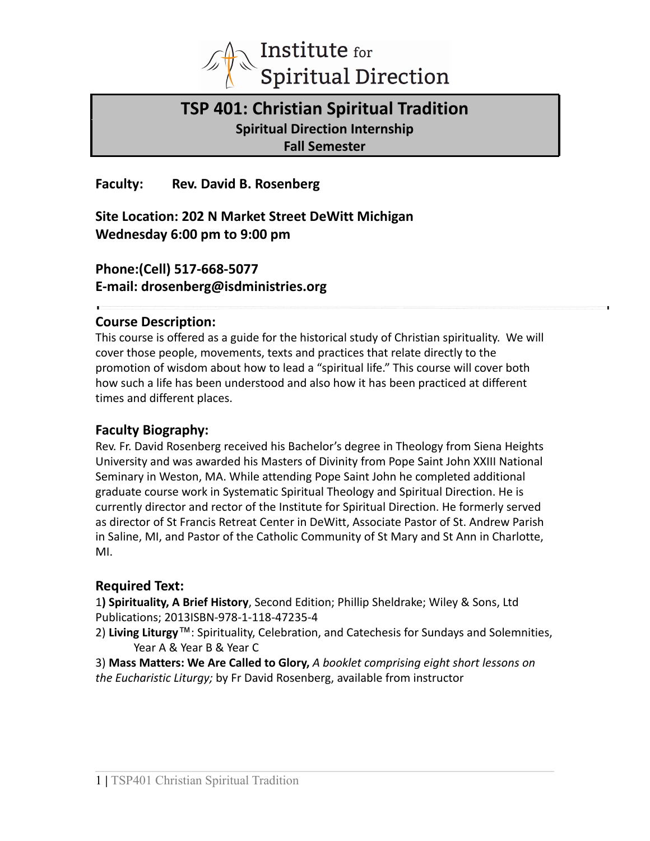

# **TSP 401: Christian Spiritual Tradition Spiritual Direction Internship Fall Semester**

**Faculty: Rev. David B. Rosenberg**

**Site Location: 202 N Market Street DeWitt Michigan Wednesday 6:00 pm to 9:00 pm**

# **Phone:(Cell) 517-668-5077 E-mail: drosenberg@isdministries.org**

# **Course Description:**

This course is offered as a guide for the historical study of Christian spirituality. We will cover those people, movements, texts and practices that relate directly to the promotion of wisdom about how to lead a "spiritual life." This course will cover both how such a life has been understood and also how it has been practiced at different times and different places.

# **Faculty Biography:**

Rev. Fr. David Rosenberg received his Bachelor's degree in Theology from Siena Heights University and was awarded his Masters of Divinity from Pope Saint John XXIII National Seminary in Weston, MA. While attending Pope Saint John he completed additional graduate course work in Systematic Spiritual Theology and Spiritual Direction. He is currently director and rector of the Institute for Spiritual Direction. He formerly served as director of St Francis Retreat Center in DeWitt, Associate Pastor of St. Andrew Parish in Saline, MI, and Pastor of the Catholic Community of St Mary and St Ann in Charlotte, MI.

# **Required Text:**

1**) Spirituality, A Brief History**, Second Edition; Phillip Sheldrake; Wiley & Sons, Ltd Publications; 2013ISBN-978-1-118-47235-4

2) **Living Liturgy**™: Spirituality, Celebration, and Catechesis for Sundays and Solemnities, Year A & Year B & Year C

3) **Mass Matters: We Are Called to Glory,** *A booklet comprising eight short lessons on the Eucharistic Liturgy;* by Fr David Rosenberg, available from instructor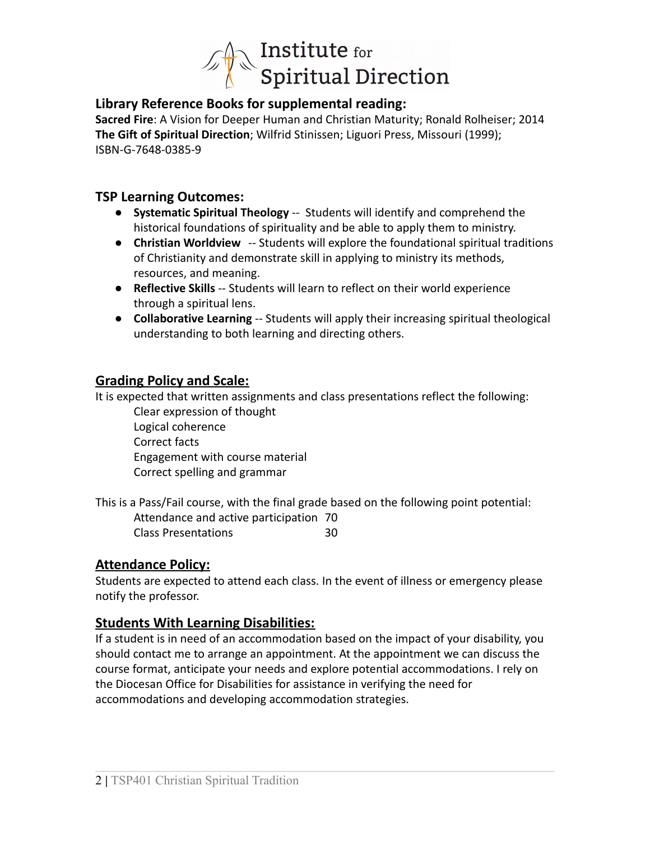

# **Library Reference Books for supplemental reading:**

**Sacred Fire**: A Vision for Deeper Human and Christian Maturity; Ronald Rolheiser; 2014 **The Gift of Spiritual Direction**; Wilfrid Stinissen; Liguori Press, Missouri (1999); ISBN-G-7648-0385-9

# **TSP Learning Outcomes:**

- **Systematic Spiritual Theology** *--* Students will identify and comprehend the historical foundations of spirituality and be able to apply them to ministry.
- **Christian Worldview** *--* Students will explore the foundational spiritual traditions of Christianity and demonstrate skill in applying to ministry its methods, resources, and meaning.
- **Reflective Skills** -- Students will learn to reflect on their world experience through a spiritual lens.
- **Collaborative Learning** -- Students will apply their increasing spiritual theological understanding to both learning and directing others.

# **Grading Policy and Scale:**

It is expected that written assignments and class presentations reflect the following:

Clear expression of thought Logical coherence Correct facts Engagement with course material Correct spelling and grammar

This is a Pass/Fail course, with the final grade based on the following point potential: Attendance and active participation 70 Class Presentations 30

# **Attendance Policy:**

Students are expected to attend each class. In the event of illness or emergency please notify the professor.

# **Students With Learning Disabilities:**

If a student is in need of an accommodation based on the impact of your disability, you should contact me to arrange an appointment. At the appointment we can discuss the course format, anticipate your needs and explore potential accommodations. I rely on the Diocesan Office for Disabilities for assistance in verifying the need for accommodations and developing accommodation strategies.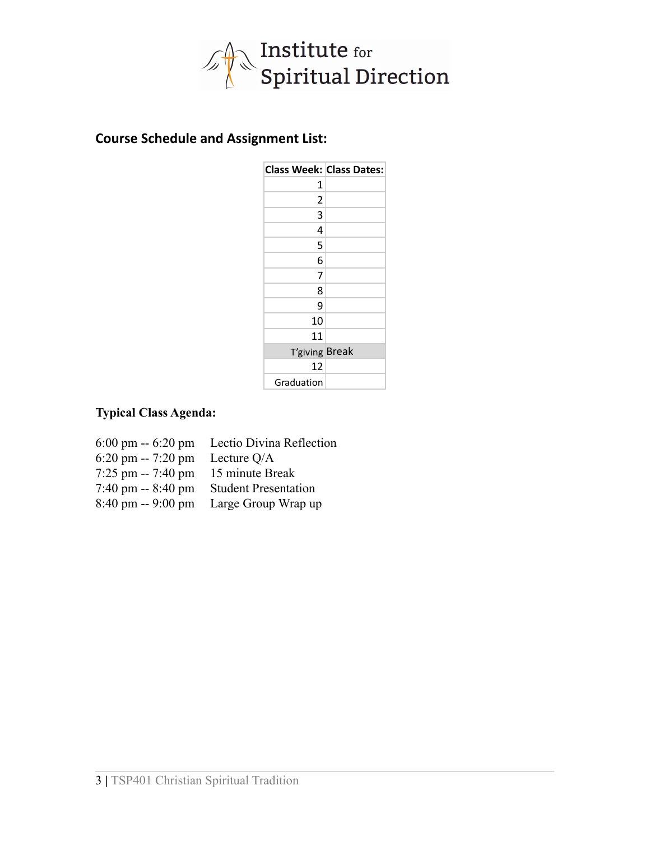

# **Course Schedule and Assignment List:**

| <b>Class Week: Class Dates:</b> |  |
|---------------------------------|--|
| 1                               |  |
| 2                               |  |
| 3                               |  |
| 4                               |  |
| 5                               |  |
| 6                               |  |
| 7                               |  |
| 8                               |  |
| 9                               |  |
| 10                              |  |
| 11                              |  |
| T'giving Break                  |  |
| 12                              |  |
| Graduation                      |  |

# **Typical Class Agenda:**

| $6:00 \text{ pm} - 6:20 \text{ pm}$ | Lectio Divina Reflection    |
|-------------------------------------|-----------------------------|
| $6:20 \text{ pm} - 7:20 \text{ pm}$ | Lecture Q/A                 |
| $7:25$ pm $-7:40$ pm                | 15 minute Break             |
| $7:40 \text{ pm} - 8:40 \text{ pm}$ | <b>Student Presentation</b> |
| $8:40 \text{ pm} - 9:00 \text{ pm}$ | Large Group Wrap up         |
|                                     |                             |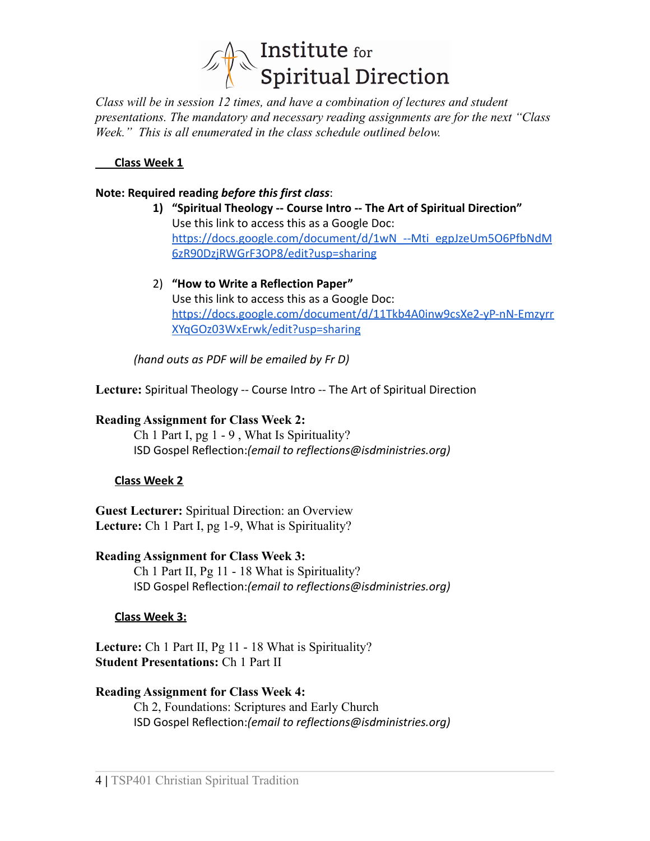

*Class will be in session 12 times, and have a combination of lectures and student presentations. The mandatory and necessary reading assignments are for the next "Class Week." This is all enumerated in the class schedule outlined below.*

#### **Class Week 1**

#### **Note: Required reading** *before this first class*:

- **1) "Spiritual Theology -- Course Intro -- The Art of Spiritual Direction"** Use this link to access this as a Google Doc: [https://docs.google.com/document/d/1wN\\_--Mti\\_egpJzeUm5O6PfbNdM](https://docs.google.com/document/d/1wN_--Mti_egpJzeUm5O6PfbNdM6zR90DzjRWGrF3OP8/edit?usp=sharing) [6zR90DzjRWGrF3OP8/edit?usp=sharing](https://docs.google.com/document/d/1wN_--Mti_egpJzeUm5O6PfbNdM6zR90DzjRWGrF3OP8/edit?usp=sharing)
- 2) **"How to Write a Reflection Paper"** Use this link to access this as a Google Doc: [https://docs.google.com/document/d/11Tkb4A0inw9csXe2-yP-nN-Emzyrr](https://docs.google.com/document/d/11Tkb4A0inw9csXe2-yP-nN-EmzyrrXYqGOz03WxErwk/edit?usp=sharing) [XYqGOz03WxErwk/edit?usp=sharing](https://docs.google.com/document/d/11Tkb4A0inw9csXe2-yP-nN-EmzyrrXYqGOz03WxErwk/edit?usp=sharing)

*(hand outs as PDF will be emailed by Fr D)*

**Lecture:** Spiritual Theology -- Course Intro -- The Art of Spiritual Direction

#### **Reading Assignment for Class Week 2:**

Ch 1 Part I, pg 1 - 9 , What Is Spirituality? ISD Gospel Reflection:*(email to reflections@isdministries.org)*

#### **Class Week 2**

**Guest Lecturer:** Spiritual Direction: an Overview **Lecture:** Ch 1 Part I, pg 1-9, What is Spirituality?

#### **Reading Assignment for Class Week 3:** Ch 1 Part II, Pg 11 - 18 What is Spirituality?

ISD Gospel Reflection:*(email to reflections@isdministries.org)*

#### **Class Week 3:**

**Lecture:** Ch 1 Part II, Pg 11 - 18 What is Spirituality? **Student Presentations:** Ch 1 Part II

#### **Reading Assignment for Class Week 4:**

Ch 2, Foundations: Scriptures and Early Church ISD Gospel Reflection:*(email to reflections@isdministries.org)*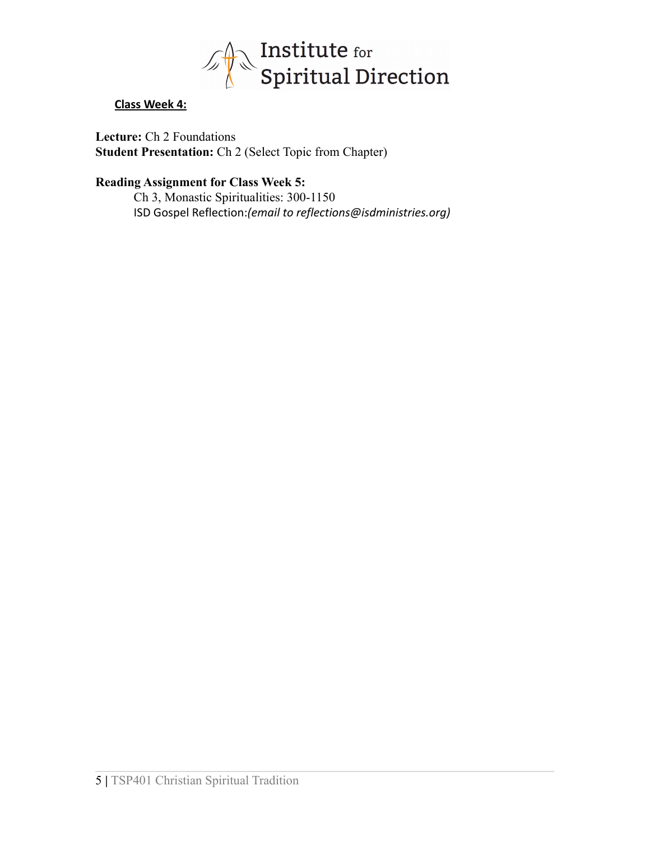

### **Class Week 4:**

**Lecture:** Ch 2 Foundations **Student Presentation:** Ch 2 (Select Topic from Chapter)

### **Reading Assignment for Class Week 5:**

Ch 3, Monastic Spiritualities: 300-1150 ISD Gospel Reflection:*(email to reflections@isdministries.org)*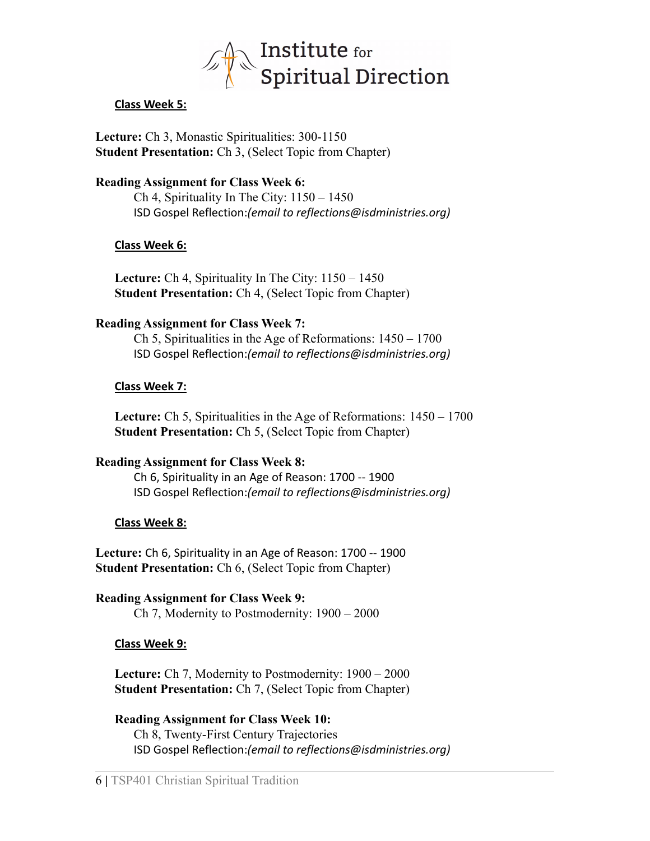

### **Class Week 5:**

**Lecture:** Ch 3, Monastic Spiritualities: 300-1150 **Student Presentation:** Ch 3, (Select Topic from Chapter)

### **Reading Assignment for Class Week 6:**

Ch 4, Spirituality In The City: 1150 – 1450 ISD Gospel Reflection:*(email to reflections@isdministries.org)*

### **Class Week 6:**

**Lecture:** Ch 4, Spirituality In The City: 1150 – 1450 **Student Presentation:** Ch 4, (Select Topic from Chapter)

### **Reading Assignment for Class Week 7:**

Ch 5, Spiritualities in the Age of Reformations: 1450 – 1700 ISD Gospel Reflection:*(email to reflections@isdministries.org)*

### **Class Week 7:**

**Lecture:** Ch 5, Spiritualities in the Age of Reformations: 1450 – 1700 **Student Presentation:** Ch 5, (Select Topic from Chapter)

### **Reading Assignment for Class Week 8:**

Ch 6, Spirituality in an Age of Reason: 1700 -- 1900 ISD Gospel Reflection:*(email to reflections@isdministries.org)*

### **Class Week 8:**

**Lecture:** Ch 6, Spirituality in an Age of Reason: 1700 -- 1900 **Student Presentation:** Ch 6, (Select Topic from Chapter)

**Reading Assignment for Class Week 9:** Ch 7, Modernity to Postmodernity: 1900 – 2000

#### **Class Week 9:**

**Lecture:** Ch 7, Modernity to Postmodernity: 1900 – 2000 **Student Presentation:** Ch 7, (Select Topic from Chapter)

**Reading Assignment for Class Week 10:** Ch 8, Twenty-First Century Trajectories ISD Gospel Reflection:*(email to reflections@isdministries.org)*